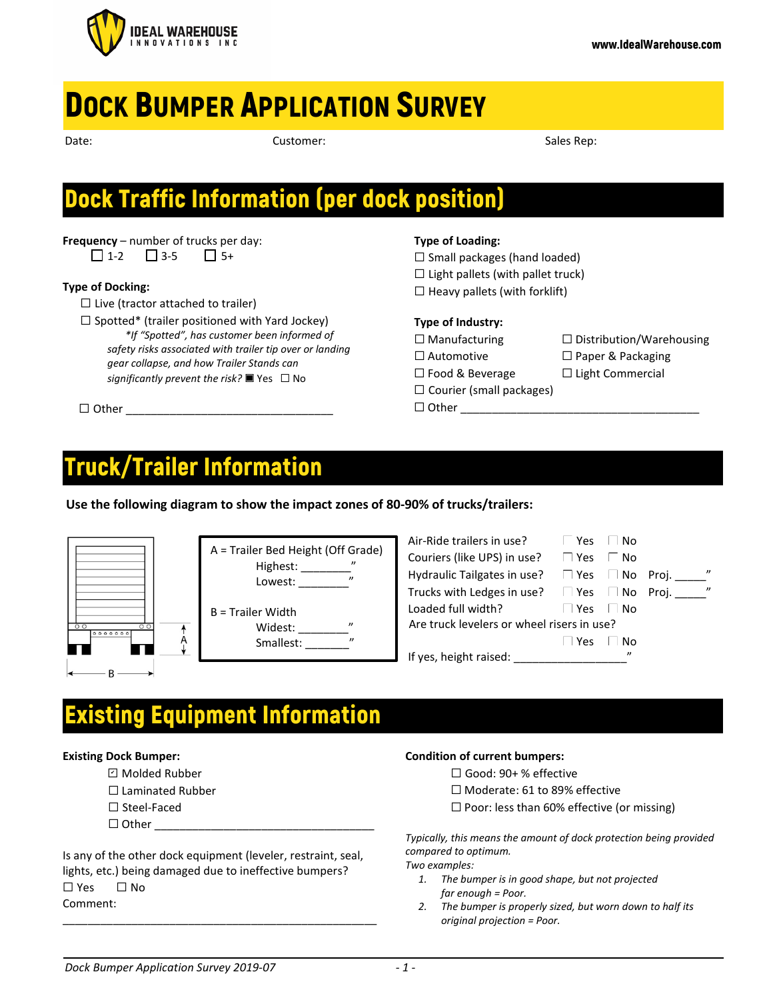

# **DOCK BUMPER APPLICATION SURVEY**

| ۰.<br><br>×<br>×<br>۰, |  |
|------------------------|--|

Date: Sales Rep: Sales Rep: Sales Rep: Sales Rep: Sales Rep: Sales Rep: Sales Rep: Sales Rep: Sales Rep: Sales Rep: Sales Rep: Sales Rep: Sales Rep: Sales Rep: Sales Rep: Sales Rep: Sales Rep: Sales Rep: Sales Rep: Sales R

## Dock Traffic Information (per dock position)

**Frequency** – number of trucks per day:  $\Box$  1-2  $\Box$  3-5  $\Box$  5+

### **Type of Docking:**

 $\Box$  Live (tractor attached to trailer)

 $\Box$  Spotted\* (trailer positioned with Yard Jockey) *\*If "Spotted", has customer been informed of safety risks associated with trailer tip over or landing gear collapse, and how Trailer Stands can significantly prevent the risk?* ☐ Yes ☐ No

 $\Box$  Other

## **Type of Loading:**

 $\Box$  Small packages (hand loaded)

 $\Box$  Light pallets (with pallet truck)

 $\Box$  Heavy pallets (with forklift)

## **Type of Industry:**

☐ Other \_\_\_\_\_\_\_\_\_\_\_\_\_\_\_\_\_\_\_\_\_\_\_\_\_\_\_\_\_\_\_\_\_\_\_\_\_\_

☐ Manufacturing ☐ Distribution/Warehousing ☐ Automotive ☐ Paper & Packaging

 $\Box$  Courier (small packages)

☐ Food & Beverage ☐ Light Commercial

## Truck/Trailer Information

**Use the following diagram to show the impact zones of 80-90% of trucks/trailers:**

|                                      | A = Trailer Bed Height (Off Grade)<br>$^{\prime\prime}$<br>Highest: _____<br>"<br>Lowest:  |
|--------------------------------------|--------------------------------------------------------------------------------------------|
| $\circ$<br>$\overline{O}$<br>0000000 | <b>B</b> = Trailer Width<br>$^{\prime\prime}$<br>Widest:<br>$^{\prime\prime}$<br>Smallest: |
|                                      |                                                                                            |

| Air-Ride trailers in use?                  | Yes<br>N٥ |                                   |  |  |
|--------------------------------------------|-----------|-----------------------------------|--|--|
| Couriers (like UPS) in use?                | Yes<br>Nο |                                   |  |  |
| Hydraulic Tailgates in use?                | Yes No    | $^{\prime\prime}$<br>Proi.        |  |  |
| Trucks with Ledges in use?                 | Yes   No  | $\overline{\phantom{a}}$<br>Proi. |  |  |
| Loaded full width?                         | Yes<br>N٥ |                                   |  |  |
| Are truck levelers or wheel risers in use? |           |                                   |  |  |
|                                            | Yes<br>N٥ |                                   |  |  |
| If yes, height raised:                     | "         |                                   |  |  |
|                                            |           |                                   |  |  |

## Existing Equipment Information

### **Existing Dock Bumper:**

- ☐ Molded Rubber ✔
- ☐ Laminated Rubber
- ☐ Steel-Faced
- $\Box$  Other

Is any of the other dock equipment (leveler, restraint, seal, lights, etc.) being damaged due to ineffective bumpers? ☐ Yes ☐ No Comment:

\_\_\_\_\_\_\_\_\_\_\_\_\_\_\_\_\_\_\_\_\_\_\_\_\_\_\_\_\_\_\_\_\_\_\_\_\_\_\_\_\_\_\_\_\_\_\_\_\_\_

### **Condition of current bumpers:**

- ☐ Good: 90+ % effective
- ☐ Moderate: 61 to 89% effective
- $\Box$  Poor: less than 60% effective (or missing)

*Typically, this means the amount of dock protection being provided compared to optimum.* 

*Two examples:*

- *1. The bumper is in good shape, but not projected far enough = Poor.*
- *2. The bumper is properly sized, but worn down to half its original projection = Poor.*